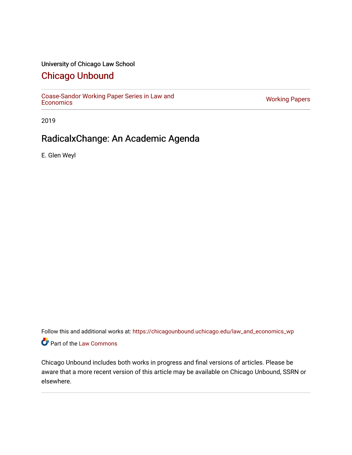## University of Chicago Law School

## [Chicago Unbound](https://chicagounbound.uchicago.edu/)

[Coase-Sandor Working Paper Series in Law and](https://chicagounbound.uchicago.edu/law_and_economics_wp) [Economics](https://chicagounbound.uchicago.edu/law_and_economics_wp) [Working Papers](https://chicagounbound.uchicago.edu/working_papers) 

2019

# RadicalxChange: An Academic Agenda

E. Glen Weyl

Follow this and additional works at: [https://chicagounbound.uchicago.edu/law\\_and\\_economics\\_wp](https://chicagounbound.uchicago.edu/law_and_economics_wp?utm_source=chicagounbound.uchicago.edu%2Flaw_and_economics_wp%2F70&utm_medium=PDF&utm_campaign=PDFCoverPages)  Part of the [Law Commons](http://network.bepress.com/hgg/discipline/578?utm_source=chicagounbound.uchicago.edu%2Flaw_and_economics_wp%2F70&utm_medium=PDF&utm_campaign=PDFCoverPages)

Chicago Unbound includes both works in progress and final versions of articles. Please be aware that a more recent version of this article may be available on Chicago Unbound, SSRN or elsewhere.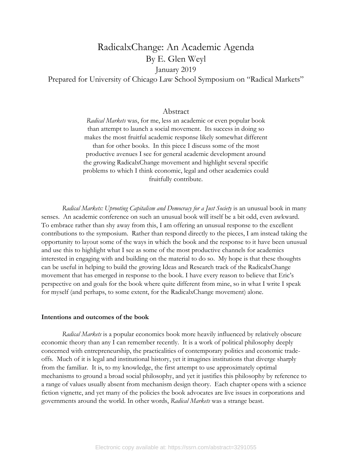# RadicalxChange: An Academic Agenda By E. Glen Weyl January 2019

Prepared for University of Chicago Law School Symposium on "Radical Markets"

### Abstract

*Radical Markets* was, for me, less an academic or even popular book than attempt to launch a social movement. Its success in doing so makes the most fruitful academic response likely somewhat different than for other books. In this piece I discuss some of the most productive avenues I see for general academic development around the growing RadicalxChange movement and highlight several specific problems to which I think economic, legal and other academics could fruitfully contribute.

*Radical Markets: Uprooting Capitalism and Democracy for a Just Society* is an unusual book in many senses. An academic conference on such an unusual book will itself be a bit odd, even awkward. To embrace rather than shy away from this, I am offering an unusual response to the excellent contributions to the symposium. Rather than respond directly to the pieces, I am instead taking the opportunity to layout some of the ways in which the book and the response to it have been unusual and use this to highlight what I see as some of the most productive channels for academics interested in engaging with and building on the material to do so. My hope is that these thoughts can be useful in helping to build the growing Ideas and Research track of the RadicalxChange movement that has emerged in response to the book. I have every reason to believe that Eric's perspective on and goals for the book where quite different from mine, so in what I write I speak for myself (and perhaps, to some extent, for the RadicalxChange movement) alone.

#### **Intentions and outcomes of the book**

*Radical Markets* is a popular economics book more heavily influenced by relatively obscure economic theory than any I can remember recently. It is a work of political philosophy deeply concerned with entrepreneurship, the practicalities of contemporary politics and economic tradeoffs. Much of it is legal and institutional history, yet it imagines institutions that diverge sharply from the familiar. It is, to my knowledge, the first attempt to use approximately optimal mechanisms to ground a broad social philosophy, and yet it justifies this philosophy by reference to a range of values usually absent from mechanism design theory. Each chapter opens with a science fiction vignette, and yet many of the policies the book advocates are live issues in corporations and governments around the world. In other words, *Radical Markets* was a strange beast.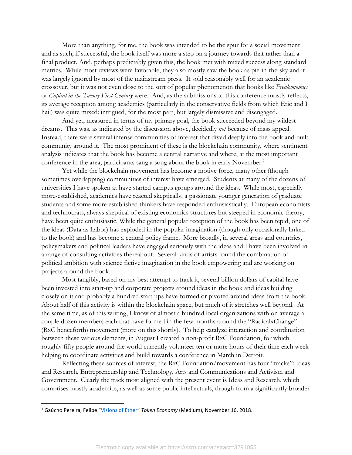More than anything, for me, the book was intended to be the spur for a social movement and as such, if successful, the book itself was more a step on a journey towards that rather than a final product. And, perhaps predictably given this, the book met with mixed success along standard metrics. While most reviews were favorable, they also mostly saw the book as pie-in-the-sky and it was largely ignored by most of the mainstream press. It sold reasonably well for an academic crossover, but it was not even close to the sort of popular phenomenon that books like *Freakonomics* or *Capital in the Twenty-First Century* were. And, as the submissions to this conference mostly reflects, its average reception among academics (particularly in the conservative fields from which Eric and I hail) was quite mixed: intrigued, for the most part, but largely dismissive and disengaged.

And yet, measured in terms of my primary goal, the book succeeded beyond my wildest dreams. This was, as indicated by the discussion above, decidedly *not* because of mass appeal. Instead, there were several intense communities of interest that dived deeply into the book and built community around it. The most prominent of these is the blockchain community, where sentiment analysis indicates that the book has become a central narrative and where, at the most important conference in the area, participants sang a song about the book in early November.<sup>1</sup>

Yet while the blockchain movement has become a motive force, many other (though sometimes overlapping) communities of interest have emerged. Students at many of the dozens of universities I have spoken at have started campus groups around the ideas. While most, especially more-established, academics have reacted skeptically, a passionate younger generation of graduate students and some more established thinkers have responded enthusiastically. European economists and technocrats, always skeptical of existing economics structures but steeped in economic theory, have been quite enthusiastic. While the general popular reception of the book has been tepid, one of the ideas (Data as Labor) has exploded in the popular imagination (though only occasionally linked to the book) and has become a central policy frame. More broadly, in several areas and countries, policymakers and political leaders have engaged seriously with the ideas and I have been involved in a range of consulting activities thereabout. Several kinds of artists found the combination of political ambition with science fictive imagination in the book empowering and are working on projects around the book.

Most tangibly, based on my best attempt to track it, several billion dollars of capital have been invested into start-up and corporate projects around ideas in the book and ideas building closely on it and probably a hundred start-ups have formed or pivoted around ideas from the book. About half of this activity is within the blockchain space, but much of it stretches well beyond. At the same time, as of this writing, I know of almost a hundred local organizations with on average a couple dozen members each that have formed in the few months around the "RadicalxChange" (RxC henceforth) movement (more on this shortly). To help catalyze interaction and coordination between these various elements, in August I created a non-profit RxC Foundation, for which roughly fifty people around the world currently volunteer ten or more hours of their time each week helping to coordinate activities and build towards a conference in March in Detroit.

Reflecting these sources of interest, the RxC Foundation/movement has four "tracks": Ideas and Research, Entrepreneurship and Technology, Arts and Communications and Activism and Government. Clearly the track most aligned with the present event is Ideas and Research, which comprises mostly academics, as well as some public intellectuals, though from a significantly broader

 $\overline{a}$ 

<sup>&</sup>lt;sup>1</sup> Gaúcho Pereira, Felipe "[Visions of Ether](https://medium.com/@simondlr/radical-markets-in-the-arts-13c27d3b7283?fbclid=IwAR02HuqEeK15Uw7gVD-cRMBcEzquUB08XjYocs2IUk8X5zN6dlf_MrPr-KU)" *Token Economy* (Medium), November 16, 2018.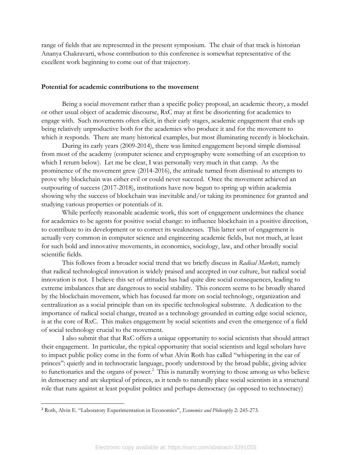range of fields that are represented in the present symposium. The chair of that track is historian Ananya Chakravarti, whose contribution to this conference is somewhat representative of the excellent work beginning to come out of that trajectory.

#### **Potential for academic contributions to the movement**

Being a social movement rather than a specific policy proposal, an academic theory, a model or other usual object of academic discourse, RxC may at first be disorienting for academics to engage with. Such movements often elicit, in their early stages, academic engagement that ends up being relatively unproductive both for the academics who produce it and for the movement to which it responds. There are many historical examples, but most illuminating recently is blockchain.

During its early years (2009-2014), there was limited engagement beyond simple dismissal from most of the academy (computer science and cryptography were something of an exception to which I return below). Let me be clear, I was personally very much in that camp. As the prominence of the movement grew (2014-2016), the attitude turned from dismissal to attempts to prove why blockchain was either evil or could never succeed. Once the movement achieved an outpouring of success (2017-2018), institutions have now begun to spring up within academia showing why the success of blockchain was inevitable and/or taking its prominence for granted and studying various properties or potentials of it.

While perfectly reasonable academic work, this sort of engagement undermines the chance for academics to be agents for positive social change: to influence blockchain in a positive direction, to contribute to its development or to correct its weaknesses. This latter sort of engagement is actually very common in computer science and engineering academic fields, but not much, at least for such bold and innovative movements, in economics, sociology, law, and other broadly social scientific fields.

This follows from a broader social trend that we briefly discuss in *Radical Markets*, namely that radical technological innovation is widely praised and accepted in our culture, but radical social innovation is not. I believe this set of attitudes has had quite dire social consequences, leading to extreme imbalances that are dangerous to social stability. This concern seems to be broadly shared by the blockchain movement, which has focused far more on social technology, organization and centralization as a social principle than on its specific technological substrate. A dedication to the importance of radical social change, treated as a technology grounded in cutting edge social science, is at the core of RxC. This makes engagement by social scientists and even the emergence of a field of social technology crucial to the movement.

I also submit that that RxC offers a unique opportunity to social scientists that should attract their engagement. In particular, the typical opportunity that social scientists and legal scholars have to impact public policy come in the form of what Alvin Roth has called "whispering in the ear of princes": quietly and in technocratic language, poorly understood by the broad public, giving advice to functionaries and the organs of power.<sup>2</sup> This is naturally worrying to those among us who believe in democracy and are skeptical of princes, as it tends to naturally place social scientists in a structural role that runs against at least populist politics and perhaps democracy (as opposed to technocracy)

 $\overline{a}$ 

<sup>2</sup> Roth, Alvin E. "Laboratory Experimentation in Economics", *Economics and Philosophy* 2: 245-273.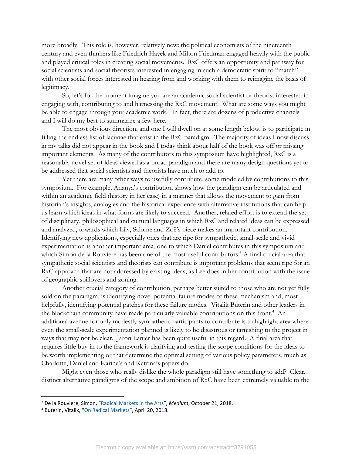more broadly. This role is, however, relatively new: the political economists of the nineteenth century and even thinkers like Friedrich Hayek and Milton Friedman engaged heavily with the public and played critical roles in creating social movements. RxC offers an opportunity and pathway for social scientists and social theorists interested in engaging in such a democratic spirit to "match" with other social forces interested in hearing from and working with them to reimagine the basis of legitimacy.

So, let's for the moment imagine you are an academic social scientist or theorist interested in engaging with, contributing to and harnessing the RxC movement. What are some ways you might be able to engage through your academic work? In fact, there are dozens of productive channels and I will do my best to summarize a few here.

The most obvious direction, and one I will dwell on at some length below, is to participate in filling the endless list of lacunae that exist in the RxC paradigm. The majority of ideas I now discuss in my talks did not appear in the book and I today think about half of the book was off or missing important elements. As many of the contributors to this symposium have highlighted, RxC is a reasonably novel set of ideas viewed as a broad paradigm and there are many design questions yet to be addressed that social scientists and theorists have much to add to.

Yet there are many other ways to usefully contribute, some modeled by contributions to this symposium. For example, Ananya's contribution shows how the paradigm can be articulated and within an academic field (history in her case) in a manner that allows the movement to gain from historian's insights, analogies and the historical experience with alternative institutions that can help us learn which ideas in what forms are likely to succeed. Another, related effort is to extend the set of disciplinary, philosophical and cultural languages in which RxC and related ideas can be expressed and analyzed, towards which Lily, Salome and Zoë's piece makes an important contribution. Identifying new applications, especially ones that are ripe for sympathetic, small-scale and vivid experimentation is another important area, one to which Daniel contributes in this symposium and which Simon de la Rouviere has been one of the most useful contributors.<sup>3</sup> A final crucial area that sympathetic social scientists and theorists can contribute is important problems that seem ripe for an RxC approach that are not addressed by existing ideas, as Lee does in her contribution with the issue of geographic spillovers and zoning.

Another crucial category of contribution, perhaps better suited to those who are not yet fully sold on the paradigm, is identifying novel potential failure modes of these mechanism and, most helpfully, identifying potential patches for these failure modes. Vitalik Buterin and other leaders in the blockchain community have made particularly valuable contributions on this front.<sup>4</sup> An additional avenue for only modestly sympathetic participants to contribute is to highlight area where even the small-scale experimentation planned is likely to be disastrous or tarnishing to the project in ways that may not be clear. Jaron Lanier has been quite useful in this regard. A final area that requires little buy-in to the framework is clarifying and testing the scope conditions for the ideas to be worth implementing or that determine the optimal setting of various policy parameters, much as Charlotte, Daniel and Karine's and Katrina's papers do.

Might even those who really dislike the whole paradigm still have something to add? Clear, distinct alternative paradigms of the scope and ambition of RxC have been extremely valuable to the

 $\overline{\phantom{a}}$ 

<sup>3</sup> De la Rouviere, Simon, "[Radical Markets in the Arts](https://medium.com/@simondlr/radical-markets-in-the-arts-13c27d3b7283?fbclid=IwAR02HuqEeK15Uw7gVD-cRMBcEzquUB08XjYocs2IUk8X5zN6dlf_MrPr-KU)", *Medium*, October 21, 2018.

<sup>&</sup>lt;sup>4</sup> Buterin, Vitalik, "[On Radical Markets](https://vitalik.ca/general/2018/04/20/radical_markets.html)", April 20, 2018.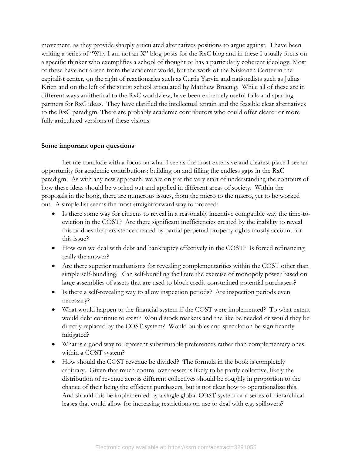movement, as they provide sharply articulated alternatives positions to argue against. I have been writing a series of "Why I am not an X" blog posts for the RxC blog and in these I usually focus on a specific thinker who exemplifies a school of thought or has a particularly coherent ideology. Most of these have not arisen from the academic world, but the work of the Niskanen Center in the capitalist center, on the right of reactionaries such as Curtis Yarvin and nationalists such as Julius Krien and on the left of the statist school articulated by Matthew Bruenig. While all of these are in different ways antithetical to the RxC worldview, have been extremely useful foils and sparring partners for RxC ideas. They have clarified the intellectual terrain and the feasible clear alternatives to the RxC paradigm. There are probably academic contributors who could offer clearer or more fully articulated versions of these visions.

#### **Some important open questions**

Let me conclude with a focus on what I see as the most extensive and clearest place I see an opportunity for academic contributions: building on and filling the endless gaps in the RxC paradigm. As with any new approach, we are only at the very start of understanding the contours of how these ideas should be worked out and applied in different areas of society. Within the proposals in the book, there are numerous issues, from the micro to the macro, yet to be worked out. A simple list seems the most straightforward way to proceed:

- Is there some way for citizens to reveal in a reasonably incentive compatible way the time-toeviction in the COST? Are there significant inefficiencies created by the inability to reveal this or does the persistence created by partial perpetual property rights mostly account for this issue?
- How can we deal with debt and bankruptcy effectively in the COST? Is forced refinancing really the answer?
- Are there superior mechanisms for revealing complementarities within the COST other than simple self-bundling? Can self-bundling facilitate the exercise of monopoly power based on large assemblies of assets that are used to block credit-constrained potential purchasers?
- Is there a self-revealing way to allow inspection periods? Are inspection periods even necessary?
- What would happen to the financial system if the COST were implemented? To what extent would debt continue to exist? Would stock markets and the like be needed or would they be directly replaced by the COST system? Would bubbles and speculation be significantly mitigated?
- What is a good way to represent substitutable preferences rather than complementary ones within a COST system?
- How should the COST revenue be divided? The formula in the book is completely arbitrary. Given that much control over assets is likely to be partly collective, likely the distribution of revenue across different collectives should be roughly in proportion to the chance of their being the efficient purchasers, but is not clear how to operationalize this. And should this be implemented by a single global COST system or a series of hierarchical leases that could allow for increasing restrictions on use to deal with e.g. spillovers?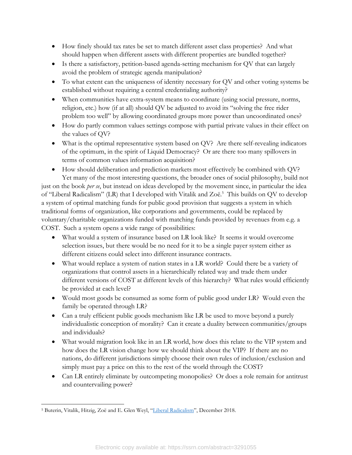- How finely should tax rates be set to match different asset class properties? And what should happen when different assets with different properties are bundled together?
- Is there a satisfactory, petition-based agenda-setting mechanism for QV that can largely avoid the problem of strategic agenda manipulation?
- To what extent can the uniqueness of identity necessary for QV and other voting systems be established without requiring a central credentialing authority?
- When communities have extra-system means to coordinate (using social pressure, norms, religion, etc.) how (if at all) should QV be adjusted to avoid its "solving the free rider problem too well" by allowing coordinated groups more power than uncoordinated ones?
- How do partly common values settings compose with partial private values in their effect on the values of QV?
- What is the optimal representative system based on QV? Are there self-revealing indicators of the optimum, in the spirit of Liquid Democracy? Or are there too many spillovers in terms of common values information acquisition?
- How should deliberation and prediction markets most effectively be combined with QV? Yet many of the most interesting questions, the broader ones of social philosophy, build not

just on the book *per se*, but instead on ideas developed by the movement since, in particular the idea of "Liberal Radicalism" (LR) that I developed with Vitalik and Zoë.<sup>5</sup> This builds on QV to develop a system of optimal matching funds for public good provision that suggests a system in which traditional forms of organization, like corporations and governments, could be replaced by voluntary/charitable organizations funded with matching funds provided by revenues from e.g. a COST. Such a system opens a wide range of possibilities:

- What would a system of insurance based on LR look like? It seems it would overcome selection issues, but there would be no need for it to be a single payer system either as different citizens could select into different insurance contracts.
- What would replace a system of nation states in a LR world? Could there be a variety of organizations that control assets in a hierarchically related way and trade them under different versions of COST at different levels of this hierarchy? What rules would efficiently be provided at each level?
- Would most goods be consumed as some form of public good under LR? Would even the family be operated through LR?
- Can a truly efficient public goods mechanism like LR be used to move beyond a purely individualistic conception of morality? Can it create a duality between communities/groups and individuals?
- What would migration look like in an LR world, how does this relate to the VIP system and how does the LR vision change how we should think about the VIP? If there are no nations, do different jurisdictions simply choose their own rules of inclusion/exclusion and simply must pay a price on this to the rest of the world through the COST?
- Can LR entirely eliminate by outcompeting monopolies? Or does a role remain for antitrust and countervailing power?

 $\overline{\phantom{a}}$ <sup>5</sup> Buterin, Vitalik, Hitzig, Zoë and E. Glen Weyl, "[Liberal Radicalism](https://papers.ssrn.com/sol3/papers.cfm?abstract_id=3243656)", December 2018.